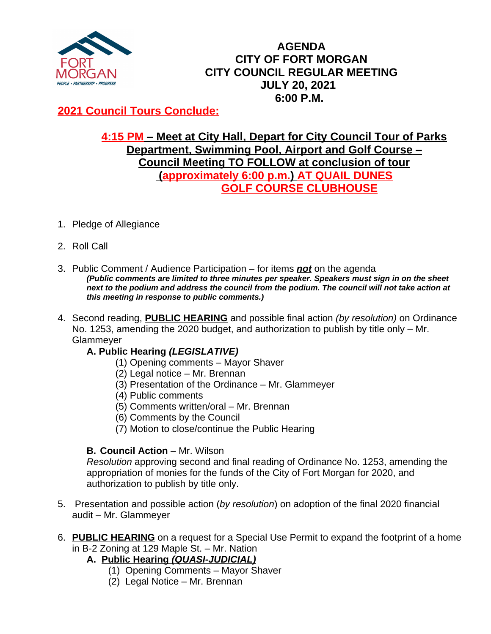

# **AGENDA CITY OF FORT MORGAN CITY COUNCIL REGULAR MEETING JULY 20, 2021 6:00 P.M.**

# **2021 Council Tours Conclude:**

## **4:15 PM – Meet at City Hall, Depart for City Council Tour of Parks Department, Swimming Pool, Airport and Golf Course – Council Meeting TO FOLLOW at conclusion of tour (approximately 6:00 p.m.) AT QUAIL DUNES GOLF COURSE CLUBHOUSE**

- 1. Pledge of Allegiance
- 2. Roll Call
- 3. Public Comment / Audience Participation for items *not* on the agenda *(Public comments are limited to three minutes per speaker. Speakers must sign in on the sheet*  next to the podium and address the council from the podium. The council will not take action at *this meeting in response to public comments.)*
- 4. Second reading, **PUBLIC HEARING** and possible final action *(by resolution)* on Ordinance No. 1253, amending the 2020 budget, and authorization to publish by title only – Mr. **Glammever**

## **A. Public Hearing** *(LEGISLATIVE)*

- (1) Opening comments Mayor Shaver
- (2) Legal notice Mr. Brennan
- (3) Presentation of the Ordinance Mr. Glammeyer
- (4) Public comments
- (5) Comments written/oral Mr. Brennan
- (6) Comments by the Council
- (7) Motion to close/continue the Public Hearing

## **B. Council Action – Mr. Wilson**

*Resolution* approving second and final reading of Ordinance No. 1253, amending the appropriation of monies for the funds of the City of Fort Morgan for 2020, and authorization to publish by title only.

- 5. Presentation and possible action (*by resolution*) on adoption of the final 2020 financial audit – Mr. Glammeyer
- 6. **PUBLIC HEARING** on a request for a Special Use Permit to expand the footprint of a home in B-2 Zoning at 129 Maple St. – Mr. Nation
	- **A.****Public Hearing** *(QUASI-JUDICIAL)*
		- (1) Opening Comments Mayor Shaver
		- (2) Legal Notice Mr. Brennan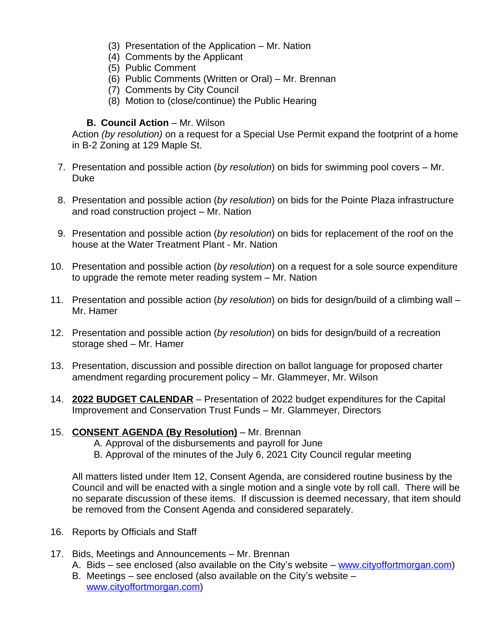- (3) Presentation of the Application Mr. Nation
- (4) Comments by the Applicant
- (5) Public Comment
- (6) Public Comments (Written or Oral) Mr. Brennan
- (7) Comments by City Council
- (8) Motion to (close/continue) the Public Hearing

#### **B. Council Action** – Mr. Wilson

Action *(by resolution)* on a request for a Special Use Permit expand the footprint of a home in B-2 Zoning at 129 Maple St.

- 7. Presentation and possible action (*by resolution*) on bids for swimming pool covers Mr. Duke
- 8. Presentation and possible action (*by resolution*) on bids for the Pointe Plaza infrastructure and road construction project – Mr. Nation
- 9. Presentation and possible action (*by resolution*) on bids for replacement of the roof on the house at the Water Treatment Plant - Mr. Nation
- 10. Presentation and possible action (*by resolution*) on a request for a sole source expenditure to upgrade the remote meter reading system – Mr. Nation
- 11. Presentation and possible action (*by resolution*) on bids for design/build of a climbing wall Mr. Hamer
- 12. Presentation and possible action (*by resolution*) on bids for design/build of a recreation storage shed – Mr. Hamer
- 13. Presentation, discussion and possible direction on ballot language for proposed charter amendment regarding procurement policy – Mr. Glammeyer, Mr. Wilson
- 14. **2022 BUDGET CALENDAR** Presentation of 2022 budget expenditures for the Capital Improvement and Conservation Trust Funds – Mr. Glammeyer, Directors

## 15. **CONSENT AGENDA (By Resolution)** – Mr. Brennan

- A. Approval of the disbursements and payroll for June
- B. Approval of the minutes of the July 6, 2021 City Council regular meeting

All matters listed under Item 12, Consent Agenda, are considered routine business by the Council and will be enacted with a single motion and a single vote by roll call. There will be no separate discussion of these items. If discussion is deemed necessary, that item should be removed from the Consent Agenda and considered separately.

- 16. Reports by Officials and Staff
- 17. Bids, Meetings and Announcements Mr. Brennan
	- A. Bids see enclosed (also available on the City's website [www.cityoffortmorgan.com\)](http://www.cityoffortmorgan.com)
	- B. Meetings see enclosed (also available on the City's website [www.cityoffortmorgan.com](http://www.cityoffortmorgan.com))